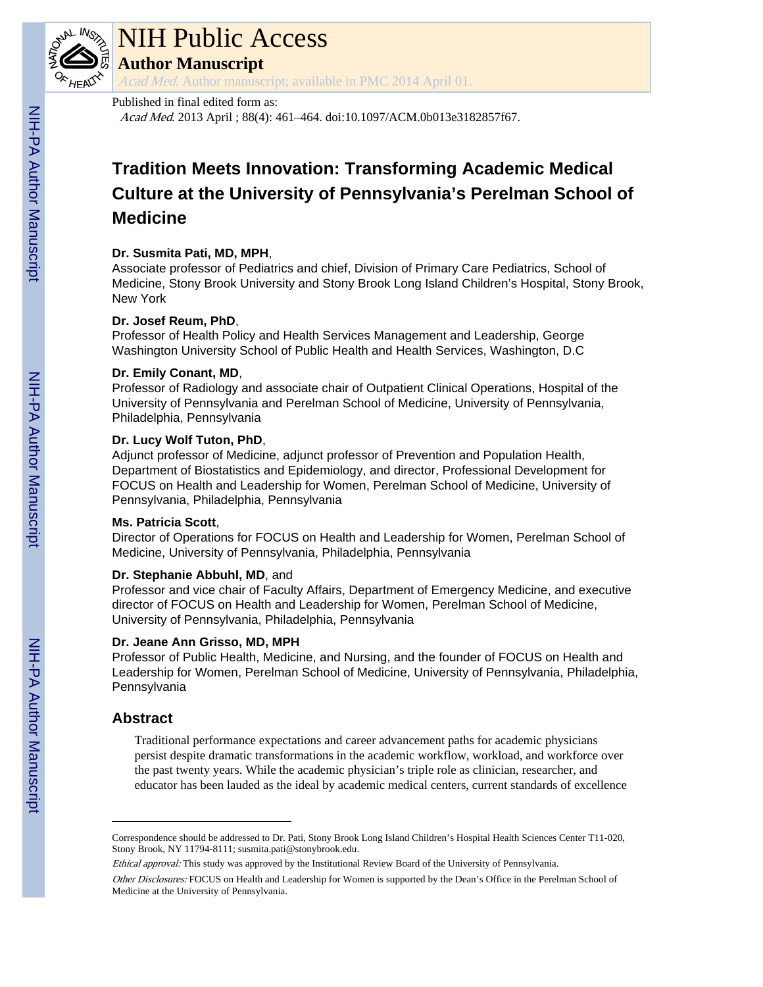

# NIH Public Access

**Author Manuscript**

Acad Med. Author manuscript; available in PMC 2014 April 01.

#### Published in final edited form as:

Acad Med. 2013 April ; 88(4): 461–464. doi:10.1097/ACM.0b013e3182857f67.

# **Tradition Meets Innovation: Transforming Academic Medical Culture at the University of Pennsylvania's Perelman School of Medicine**

#### **Dr. Susmita Pati, MD, MPH**,

Associate professor of Pediatrics and chief, Division of Primary Care Pediatrics, School of Medicine, Stony Brook University and Stony Brook Long Island Children's Hospital, Stony Brook, New York

#### **Dr. Josef Reum, PhD**,

Professor of Health Policy and Health Services Management and Leadership, George Washington University School of Public Health and Health Services, Washington, D.C

#### **Dr. Emily Conant, MD**,

Professor of Radiology and associate chair of Outpatient Clinical Operations, Hospital of the University of Pennsylvania and Perelman School of Medicine, University of Pennsylvania, Philadelphia, Pennsylvania

#### **Dr. Lucy Wolf Tuton, PhD**,

Adjunct professor of Medicine, adjunct professor of Prevention and Population Health, Department of Biostatistics and Epidemiology, and director, Professional Development for FOCUS on Health and Leadership for Women, Perelman School of Medicine, University of Pennsylvania, Philadelphia, Pennsylvania

#### **Ms. Patricia Scott**,

Director of Operations for FOCUS on Health and Leadership for Women, Perelman School of Medicine, University of Pennsylvania, Philadelphia, Pennsylvania

#### **Dr. Stephanie Abbuhl, MD**, and

Professor and vice chair of Faculty Affairs, Department of Emergency Medicine, and executive director of FOCUS on Health and Leadership for Women, Perelman School of Medicine, University of Pennsylvania, Philadelphia, Pennsylvania

#### **Dr. Jeane Ann Grisso, MD, MPH**

Professor of Public Health, Medicine, and Nursing, and the founder of FOCUS on Health and Leadership for Women, Perelman School of Medicine, University of Pennsylvania, Philadelphia, Pennsylvania

## **Abstract**

Traditional performance expectations and career advancement paths for academic physicians persist despite dramatic transformations in the academic workflow, workload, and workforce over the past twenty years. While the academic physician's triple role as clinician, researcher, and educator has been lauded as the ideal by academic medical centers, current standards of excellence

Correspondence should be addressed to Dr. Pati, Stony Brook Long Island Children's Hospital Health Sciences Center T11-020, Stony Brook, NY 11794-8111; susmita.pati@stonybrook.edu.

Ethical approval: This study was approved by the Institutional Review Board of the University of Pennsylvania. Other Disclosures: FOCUS on Health and Leadership for Women is supported by the Dean's Office in the Perelman School of Medicine at the University of Pennsylvania.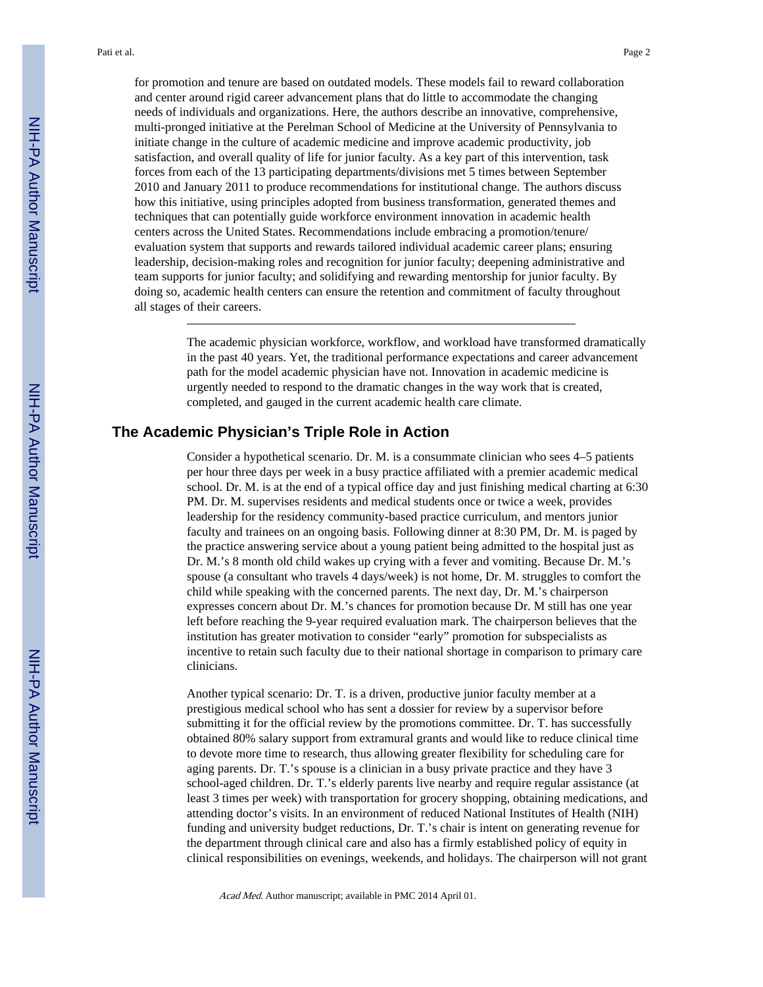for promotion and tenure are based on outdated models. These models fail to reward collaboration and center around rigid career advancement plans that do little to accommodate the changing needs of individuals and organizations. Here, the authors describe an innovative, comprehensive, multi-pronged initiative at the Perelman School of Medicine at the University of Pennsylvania to initiate change in the culture of academic medicine and improve academic productivity, job satisfaction, and overall quality of life for junior faculty. As a key part of this intervention, task forces from each of the 13 participating departments/divisions met 5 times between September 2010 and January 2011 to produce recommendations for institutional change. The authors discuss how this initiative, using principles adopted from business transformation, generated themes and techniques that can potentially guide workforce environment innovation in academic health centers across the United States. Recommendations include embracing a promotion/tenure/ evaluation system that supports and rewards tailored individual academic career plans; ensuring leadership, decision-making roles and recognition for junior faculty; deepening administrative and team supports for junior faculty; and solidifying and rewarding mentorship for junior faculty. By doing so, academic health centers can ensure the retention and commitment of faculty throughout all stages of their careers.

> The academic physician workforce, workflow, and workload have transformed dramatically in the past 40 years. Yet, the traditional performance expectations and career advancement path for the model academic physician have not. Innovation in academic medicine is urgently needed to respond to the dramatic changes in the way work that is created, completed, and gauged in the current academic health care climate.

### **The Academic Physician's Triple Role in Action**

Consider a hypothetical scenario. Dr. M. is a consummate clinician who sees 4–5 patients per hour three days per week in a busy practice affiliated with a premier academic medical school. Dr. M. is at the end of a typical office day and just finishing medical charting at 6:30 PM. Dr. M. supervises residents and medical students once or twice a week, provides leadership for the residency community-based practice curriculum, and mentors junior faculty and trainees on an ongoing basis. Following dinner at 8:30 PM, Dr. M. is paged by the practice answering service about a young patient being admitted to the hospital just as Dr. M.'s 8 month old child wakes up crying with a fever and vomiting. Because Dr. M.'s spouse (a consultant who travels 4 days/week) is not home, Dr. M. struggles to comfort the child while speaking with the concerned parents. The next day, Dr. M.'s chairperson expresses concern about Dr. M.'s chances for promotion because Dr. M still has one year left before reaching the 9-year required evaluation mark. The chairperson believes that the institution has greater motivation to consider "early" promotion for subspecialists as incentive to retain such faculty due to their national shortage in comparison to primary care clinicians.

Another typical scenario: Dr. T. is a driven, productive junior faculty member at a prestigious medical school who has sent a dossier for review by a supervisor before submitting it for the official review by the promotions committee. Dr. T. has successfully obtained 80% salary support from extramural grants and would like to reduce clinical time to devote more time to research, thus allowing greater flexibility for scheduling care for aging parents. Dr. T.'s spouse is a clinician in a busy private practice and they have 3 school-aged children. Dr. T.'s elderly parents live nearby and require regular assistance (at least 3 times per week) with transportation for grocery shopping, obtaining medications, and attending doctor's visits. In an environment of reduced National Institutes of Health (NIH) funding and university budget reductions, Dr. T.'s chair is intent on generating revenue for the department through clinical care and also has a firmly established policy of equity in clinical responsibilities on evenings, weekends, and holidays. The chairperson will not grant

Acad Med. Author manuscript; available in PMC 2014 April 01.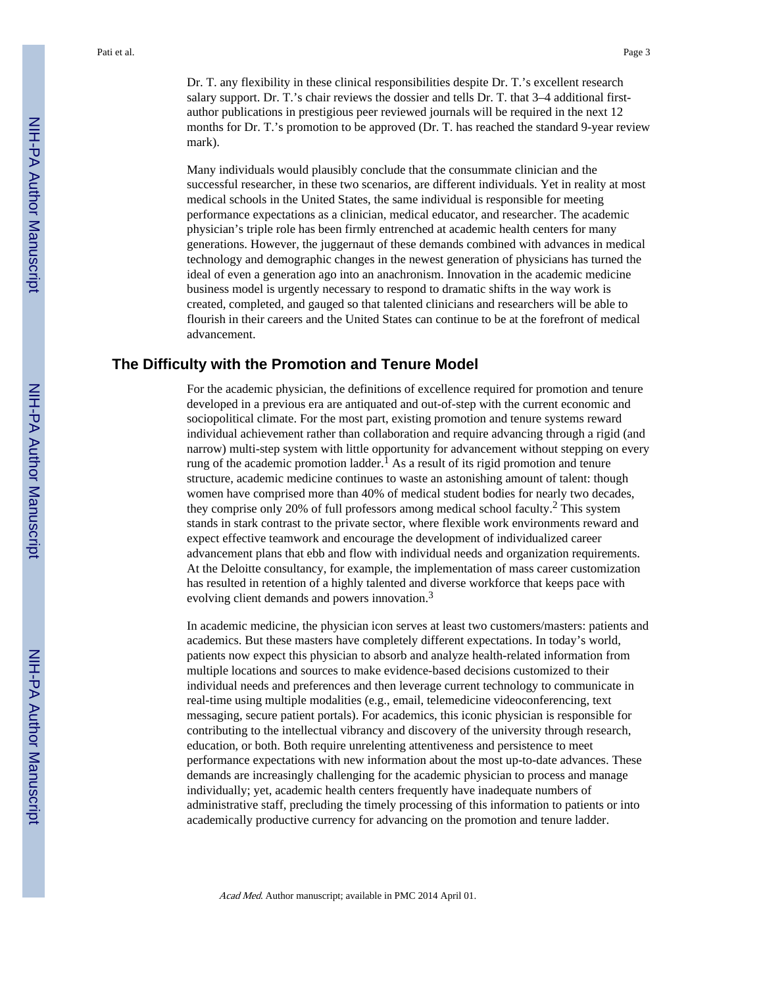Dr. T. any flexibility in these clinical responsibilities despite Dr. T.'s excellent research salary support. Dr. T.'s chair reviews the dossier and tells Dr. T. that 3–4 additional firstauthor publications in prestigious peer reviewed journals will be required in the next 12 months for Dr. T.'s promotion to be approved (Dr. T. has reached the standard 9-year review mark).

Many individuals would plausibly conclude that the consummate clinician and the successful researcher, in these two scenarios, are different individuals. Yet in reality at most medical schools in the United States, the same individual is responsible for meeting performance expectations as a clinician, medical educator, and researcher. The academic physician's triple role has been firmly entrenched at academic health centers for many generations. However, the juggernaut of these demands combined with advances in medical technology and demographic changes in the newest generation of physicians has turned the ideal of even a generation ago into an anachronism. Innovation in the academic medicine business model is urgently necessary to respond to dramatic shifts in the way work is created, completed, and gauged so that talented clinicians and researchers will be able to flourish in their careers and the United States can continue to be at the forefront of medical advancement.

#### **The Difficulty with the Promotion and Tenure Model**

For the academic physician, the definitions of excellence required for promotion and tenure developed in a previous era are antiquated and out-of-step with the current economic and sociopolitical climate. For the most part, existing promotion and tenure systems reward individual achievement rather than collaboration and require advancing through a rigid (and narrow) multi-step system with little opportunity for advancement without stepping on every rung of the academic promotion ladder.<sup>1</sup> As a result of its rigid promotion and tenure structure, academic medicine continues to waste an astonishing amount of talent: though women have comprised more than 40% of medical student bodies for nearly two decades, they comprise only 20% of full professors among medical school faculty.<sup>2</sup> This system stands in stark contrast to the private sector, where flexible work environments reward and expect effective teamwork and encourage the development of individualized career advancement plans that ebb and flow with individual needs and organization requirements. At the Deloitte consultancy, for example, the implementation of mass career customization has resulted in retention of a highly talented and diverse workforce that keeps pace with evolving client demands and powers innovation.<sup>3</sup>

In academic medicine, the physician icon serves at least two customers/masters: patients and academics. But these masters have completely different expectations. In today's world, patients now expect this physician to absorb and analyze health-related information from multiple locations and sources to make evidence-based decisions customized to their individual needs and preferences and then leverage current technology to communicate in real-time using multiple modalities (e.g., email, telemedicine videoconferencing, text messaging, secure patient portals). For academics, this iconic physician is responsible for contributing to the intellectual vibrancy and discovery of the university through research, education, or both. Both require unrelenting attentiveness and persistence to meet performance expectations with new information about the most up-to-date advances. These demands are increasingly challenging for the academic physician to process and manage individually; yet, academic health centers frequently have inadequate numbers of administrative staff, precluding the timely processing of this information to patients or into academically productive currency for advancing on the promotion and tenure ladder.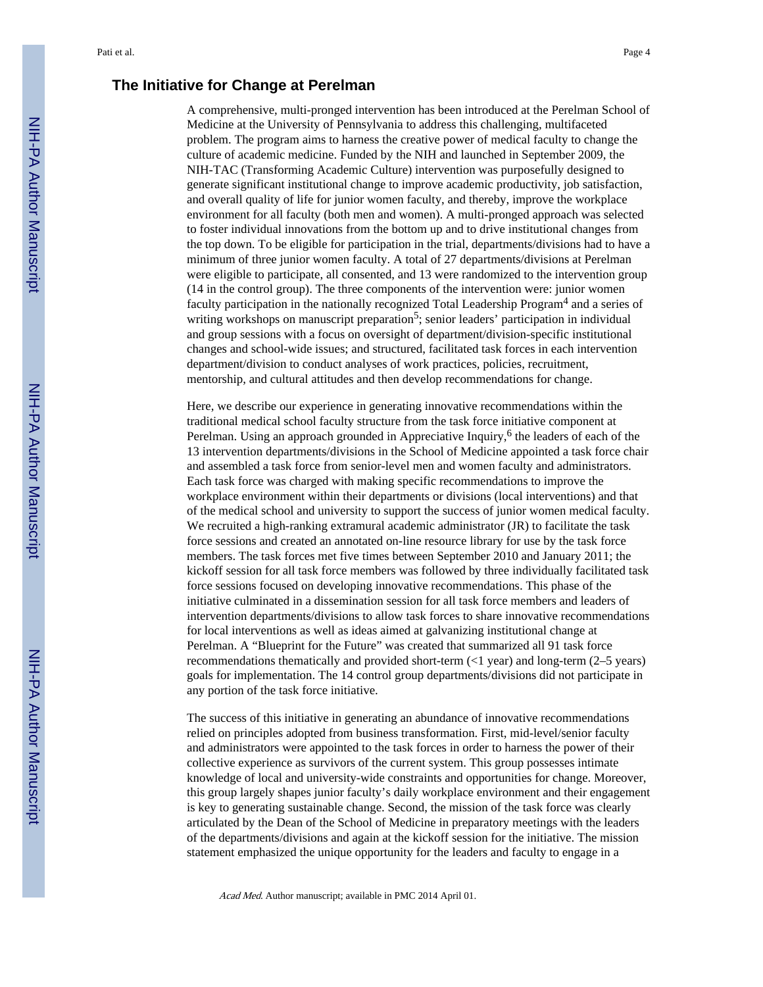#### **The Initiative for Change at Perelman**

A comprehensive, multi-pronged intervention has been introduced at the Perelman School of Medicine at the University of Pennsylvania to address this challenging, multifaceted problem. The program aims to harness the creative power of medical faculty to change the culture of academic medicine. Funded by the NIH and launched in September 2009, the NIH-TAC (Transforming Academic Culture) intervention was purposefully designed to generate significant institutional change to improve academic productivity, job satisfaction, and overall quality of life for junior women faculty, and thereby, improve the workplace environment for all faculty (both men and women). A multi-pronged approach was selected to foster individual innovations from the bottom up and to drive institutional changes from the top down. To be eligible for participation in the trial, departments/divisions had to have a minimum of three junior women faculty. A total of 27 departments/divisions at Perelman were eligible to participate, all consented, and 13 were randomized to the intervention group (14 in the control group). The three components of the intervention were: junior women faculty participation in the nationally recognized Total Leadership Program<sup>4</sup> and a series of writing workshops on manuscript preparation<sup>5</sup>; senior leaders' participation in individual and group sessions with a focus on oversight of department/division-specific institutional changes and school-wide issues; and structured, facilitated task forces in each intervention department/division to conduct analyses of work practices, policies, recruitment, mentorship, and cultural attitudes and then develop recommendations for change.

Here, we describe our experience in generating innovative recommendations within the traditional medical school faculty structure from the task force initiative component at Perelman. Using an approach grounded in Appreciative Inquiry,<sup>6</sup> the leaders of each of the 13 intervention departments/divisions in the School of Medicine appointed a task force chair and assembled a task force from senior-level men and women faculty and administrators. Each task force was charged with making specific recommendations to improve the workplace environment within their departments or divisions (local interventions) and that of the medical school and university to support the success of junior women medical faculty. We recruited a high-ranking extramural academic administrator (JR) to facilitate the task force sessions and created an annotated on-line resource library for use by the task force members. The task forces met five times between September 2010 and January 2011; the kickoff session for all task force members was followed by three individually facilitated task force sessions focused on developing innovative recommendations. This phase of the initiative culminated in a dissemination session for all task force members and leaders of intervention departments/divisions to allow task forces to share innovative recommendations for local interventions as well as ideas aimed at galvanizing institutional change at Perelman. A "Blueprint for the Future" was created that summarized all 91 task force recommendations thematically and provided short-term  $\left($   $\leq$  1 year) and long-term  $(2–5 \text{ years})$ goals for implementation. The 14 control group departments/divisions did not participate in any portion of the task force initiative.

The success of this initiative in generating an abundance of innovative recommendations relied on principles adopted from business transformation. First, mid-level/senior faculty and administrators were appointed to the task forces in order to harness the power of their collective experience as survivors of the current system. This group possesses intimate knowledge of local and university-wide constraints and opportunities for change. Moreover, this group largely shapes junior faculty's daily workplace environment and their engagement is key to generating sustainable change. Second, the mission of the task force was clearly articulated by the Dean of the School of Medicine in preparatory meetings with the leaders of the departments/divisions and again at the kickoff session for the initiative. The mission statement emphasized the unique opportunity for the leaders and faculty to engage in a

Acad Med. Author manuscript; available in PMC 2014 April 01.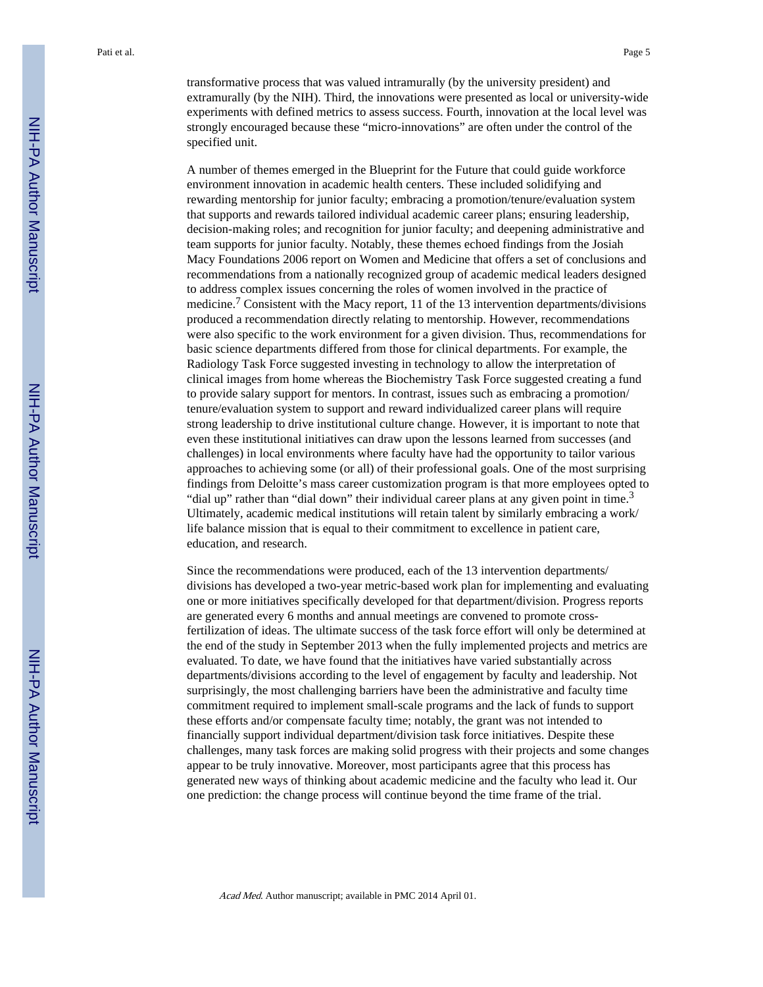transformative process that was valued intramurally (by the university president) and extramurally (by the NIH). Third, the innovations were presented as local or university-wide experiments with defined metrics to assess success. Fourth, innovation at the local level was strongly encouraged because these "micro-innovations" are often under the control of the specified unit.

A number of themes emerged in the Blueprint for the Future that could guide workforce environment innovation in academic health centers. These included solidifying and rewarding mentorship for junior faculty; embracing a promotion/tenure/evaluation system that supports and rewards tailored individual academic career plans; ensuring leadership, decision-making roles; and recognition for junior faculty; and deepening administrative and team supports for junior faculty. Notably, these themes echoed findings from the Josiah Macy Foundations 2006 report on Women and Medicine that offers a set of conclusions and recommendations from a nationally recognized group of academic medical leaders designed to address complex issues concerning the roles of women involved in the practice of medicine.<sup>7</sup> Consistent with the Macy report, 11 of the 13 intervention departments/divisions produced a recommendation directly relating to mentorship. However, recommendations were also specific to the work environment for a given division. Thus, recommendations for basic science departments differed from those for clinical departments. For example, the Radiology Task Force suggested investing in technology to allow the interpretation of clinical images from home whereas the Biochemistry Task Force suggested creating a fund to provide salary support for mentors. In contrast, issues such as embracing a promotion/ tenure/evaluation system to support and reward individualized career plans will require strong leadership to drive institutional culture change. However, it is important to note that even these institutional initiatives can draw upon the lessons learned from successes (and challenges) in local environments where faculty have had the opportunity to tailor various approaches to achieving some (or all) of their professional goals. One of the most surprising findings from Deloitte's mass career customization program is that more employees opted to "dial up" rather than "dial down" their individual career plans at any given point in time.<sup>3</sup> Ultimately, academic medical institutions will retain talent by similarly embracing a work/ life balance mission that is equal to their commitment to excellence in patient care, education, and research.

Since the recommendations were produced, each of the 13 intervention departments/ divisions has developed a two-year metric-based work plan for implementing and evaluating one or more initiatives specifically developed for that department/division. Progress reports are generated every 6 months and annual meetings are convened to promote crossfertilization of ideas. The ultimate success of the task force effort will only be determined at the end of the study in September 2013 when the fully implemented projects and metrics are evaluated. To date, we have found that the initiatives have varied substantially across departments/divisions according to the level of engagement by faculty and leadership. Not surprisingly, the most challenging barriers have been the administrative and faculty time commitment required to implement small-scale programs and the lack of funds to support these efforts and/or compensate faculty time; notably, the grant was not intended to financially support individual department/division task force initiatives. Despite these challenges, many task forces are making solid progress with their projects and some changes appear to be truly innovative. Moreover, most participants agree that this process has generated new ways of thinking about academic medicine and the faculty who lead it. Our one prediction: the change process will continue beyond the time frame of the trial.